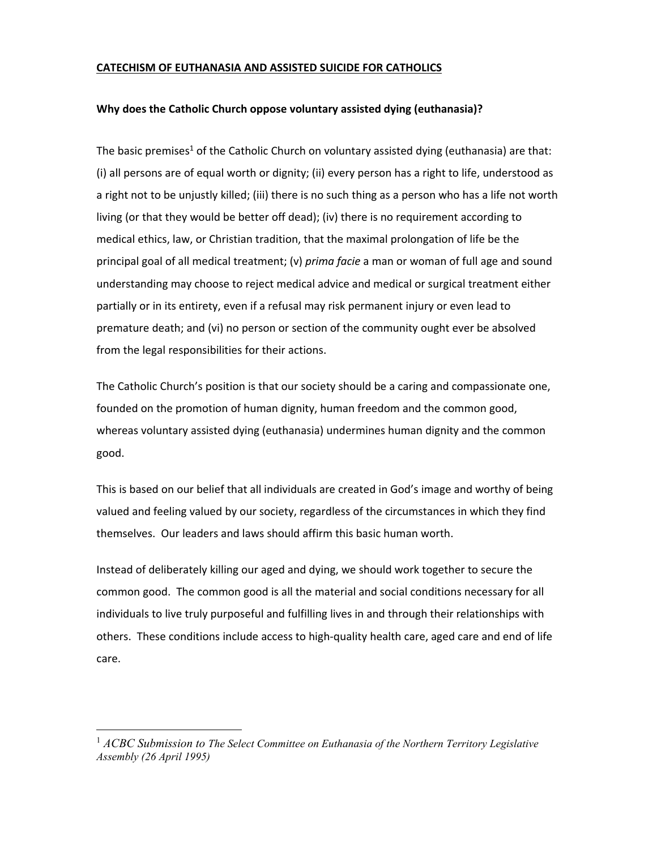# **CATECHISM OF EUTHANASIA AND ASSISTED SUICIDE FOR CATHOLICS**

#### **Why does the Catholic Church oppose voluntary assisted dying (euthanasia)?**

The basic premises<sup>1</sup> of the Catholic Church on voluntary assisted dying (euthanasia) are that: (i) all persons are of equal worth or dignity; (ii) every person has a right to life, understood as a right not to be unjustly killed; (iii) there is no such thing as a person who has a life not worth living (or that they would be better off dead); (iv) there is no requirement according to medical ethics, law, or Christian tradition, that the maximal prolongation of life be the principal goal of all medical treatment; (v) *prima facie* a man or woman of full age and sound understanding may choose to reject medical advice and medical or surgical treatment either partially or in its entirety, even if a refusal may risk permanent injury or even lead to premature death; and (vi) no person or section of the community ought ever be absolved from the legal responsibilities for their actions.

The Catholic Church's position is that our society should be a caring and compassionate one, founded on the promotion of human dignity, human freedom and the common good, whereas voluntary assisted dying (euthanasia) undermines human dignity and the common good.

This is based on our belief that all individuals are created in God's image and worthy of being valued and feeling valued by our society, regardless of the circumstances in which they find themselves. Our leaders and laws should affirm this basic human worth.

Instead of deliberately killing our aged and dying, we should work together to secure the common good. The common good is all the material and social conditions necessary for all individuals to live truly purposeful and fulfilling lives in and through their relationships with others. These conditions include access to high-quality health care, aged care and end of life care.

<sup>1</sup> *ACBC Submission to The Select Committee on Euthanasia of the Northern Territory Legislative Assembly (26 April 1995)*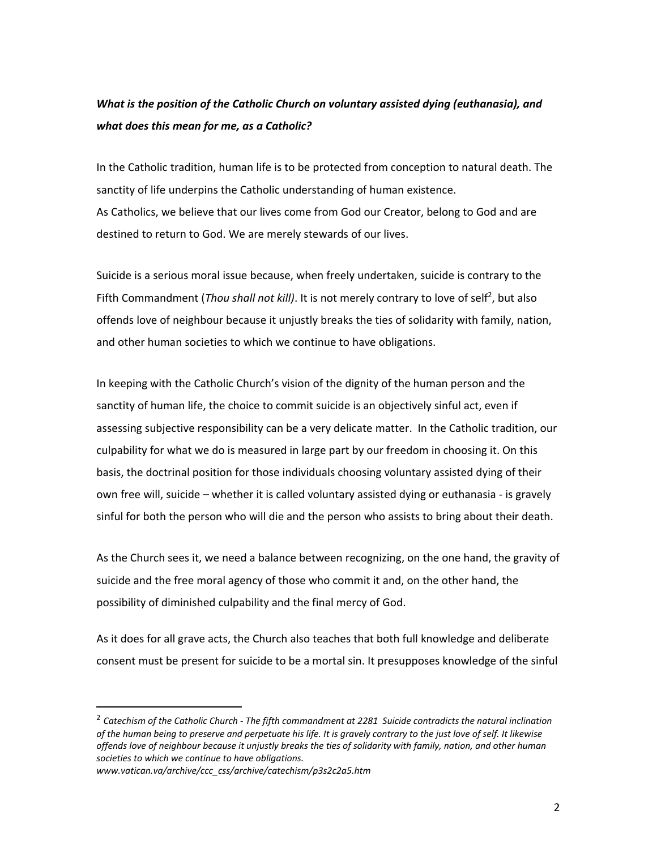# *What is the position of the Catholic Church on voluntary assisted dying (euthanasia), and what does this mean for me, as a Catholic?*

In the Catholic tradition, human life is to be protected from conception to natural death. The sanctity of life underpins the Catholic understanding of human existence. As Catholics, we believe that our lives come from God our Creator, belong to God and are destined to return to God. We are merely stewards of our lives.

Suicide is a serious moral issue because, when freely undertaken, suicide is contrary to the Fifth Commandment (*Thou shall not kill*). It is not merely contrary to love of self<sup>2</sup>, but also offends love of neighbour because it unjustly breaks the ties of solidarity with family, nation, and other human societies to which we continue to have obligations.

In keeping with the Catholic Church's vision of the dignity of the human person and the sanctity of human life, the choice to commit suicide is an objectively sinful act, even if assessing subjective responsibility can be a very delicate matter. In the Catholic tradition, our culpability for what we do is measured in large part by our freedom in choosing it. On this basis, the doctrinal position for those individuals choosing voluntary assisted dying of their own free will, suicide – whether it is called voluntary assisted dying or euthanasia ‐ is gravely sinful for both the person who will die and the person who assists to bring about their death.

As the Church sees it, we need a balance between recognizing, on the one hand, the gravity of suicide and the free moral agency of those who commit it and, on the other hand, the possibility of diminished culpability and the final mercy of God.

As it does for all grave acts, the Church also teaches that both full knowledge and deliberate consent must be present for suicide to be a mortal sin. It presupposes knowledge of the sinful

<sup>&</sup>lt;sup>2</sup> Catechism of the Catholic Church - The fifth commandment at 2281 Suicide contradicts the natural inclination of the human being to preserve and perpetuate his life. It is gravely contrary to the just love of self. It likewise offends love of neighbour because it unjustly breaks the ties of solidarity with family, nation, and other human *societies to which we continue to have obligations.*

*www.vatican.va/archive/ccc\_css/archive/catechism/p3s2c2a5.htm*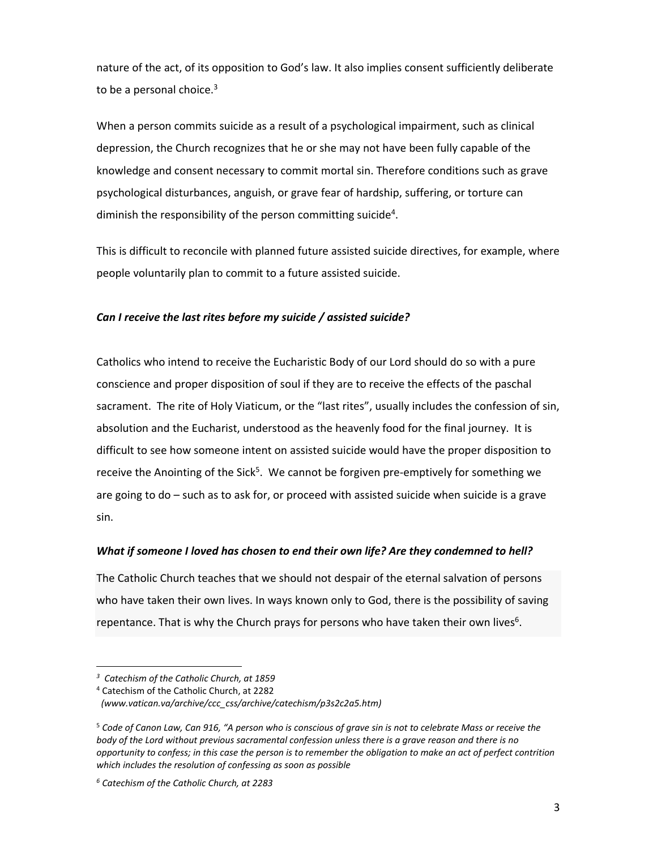nature of the act, of its opposition to God's law. It also implies consent sufficiently deliberate to be a personal choice.<sup>3</sup>

When a person commits suicide as a result of a psychological impairment, such as clinical depression, the Church recognizes that he or she may not have been fully capable of the knowledge and consent necessary to commit mortal sin. Therefore conditions such as grave psychological disturbances, anguish, or grave fear of hardship, suffering, or torture can diminish the responsibility of the person committing suicide<sup>4</sup>.

This is difficult to reconcile with planned future assisted suicide directives, for example, where people voluntarily plan to commit to a future assisted suicide.

# *Can I receive the last rites before my suicide / assisted suicide?*

Catholics who intend to receive the Eucharistic Body of our Lord should do so with a pure conscience and proper disposition of soul if they are to receive the effects of the paschal sacrament. The rite of Holy Viaticum, or the "last rites", usually includes the confession of sin, absolution and the Eucharist, understood as the heavenly food for the final journey. It is difficult to see how someone intent on assisted suicide would have the proper disposition to receive the Anointing of the Sick<sup>5</sup>. We cannot be forgiven pre-emptively for something we are going to do – such as to ask for, or proceed with assisted suicide when suicide is a grave sin.

# *What if someone I loved has chosen to end their own life? Are they condemned to hell?*

The Catholic Church teaches that we should not despair of the eternal salvation of persons who have taken their own lives. In ways known only to God, there is the possibility of saving repentance. That is why the Church prays for persons who have taken their own lives $6$ .

*<sup>3</sup> Catechism of the Catholic Church, at 1859* 

<sup>4</sup> Catechism of the Catholic Church, at 2282

*(www.vatican.va/archive/ccc\_css/archive/catechism/p3s2c2a5.htm)*

 $5$  Code of Canon Law, Can 916, "A person who is conscious of grave sin is not to celebrate Mass or receive the body of the Lord without previous sacramental confession unless there is a grave reason and there is no opportunity to confess; in this case the person is to remember the obligation to make an act of perfect contrition *which includes the resolution of confessing as soon as possible*

*<sup>6</sup> Catechism of the Catholic Church, at 2283*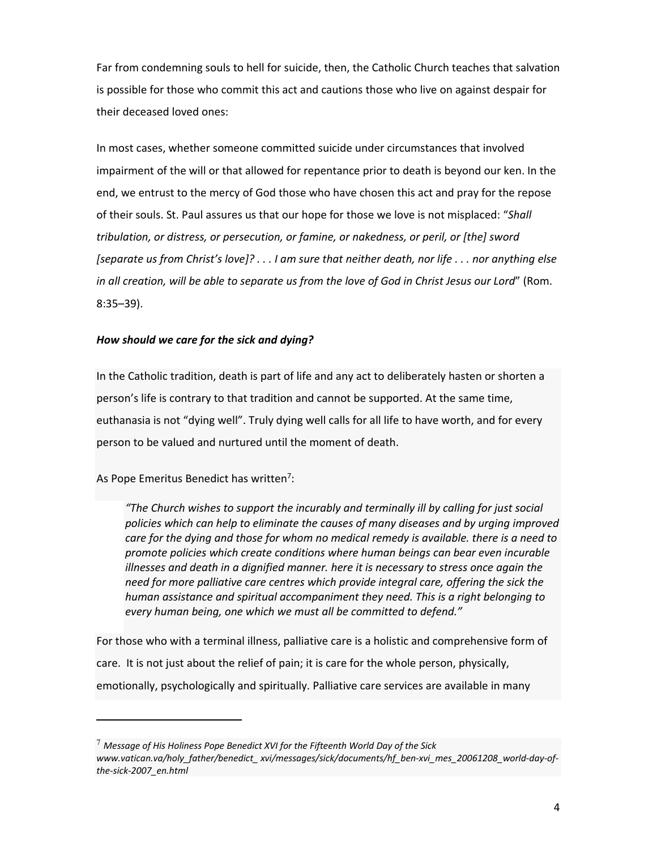Far from condemning souls to hell for suicide, then, the Catholic Church teaches that salvation is possible for those who commit this act and cautions those who live on against despair for their deceased loved ones:

In most cases, whether someone committed suicide under circumstances that involved impairment of the will or that allowed for repentance prior to death is beyond our ken. In the end, we entrust to the mercy of God those who have chosen this act and pray for the repose of their souls. St. Paul assures us that our hope for those we love is not misplaced: "*Shall tribulation, or distress, or persecution, or famine, or nakedness, or peril, or [the] sword* [separate us from Christ's love]? . . . I am sure that neither death, nor life . . . nor anything else in all creation, will be able to separate us from the love of God in Christ Jesus our Lord" (Rom. 8:35–39).

# *How should we care for the sick and dying?*

In the Catholic tradition, death is part of life and any act to deliberately hasten or shorten a person's life is contrary to that tradition and cannot be supported. At the same time, euthanasia is not "dying well". Truly dying well calls for all life to have worth, and for every person to be valued and nurtured until the moment of death.

As Pope Emeritus Benedict has written<sup>7</sup>:

*"The Church wishes to support the incurably and terminally ill by calling for just social policies which can help to eliminate the causes of many diseases and by urging improved care for the dying and those for whom no medical remedy is available. there is a need to promote policies which create conditions where human beings can bear even incurable illnesses and death in a dignified manner. here it is necessary to stress once again the need for more palliative care centres which provide integral care, offering the sick the human assistance and spiritual accompaniment they need. This is a right belonging to every human being, one which we must all be committed to defend."*

For those who with a terminal illness, palliative care is a holistic and comprehensive form of care. It is not just about the relief of pain; it is care for the whole person, physically, emotionally, psychologically and spiritually. Palliative care services are available in many

<sup>7</sup> *Message of His Holiness Pope Benedict XVI for the Fifteenth World Day of the Sick www.vatican.va/holy\_father/benedict\_ xvi/messages/sick/documents/hf\_ben‐xvi\_mes\_20061208\_world‐day‐of‐ the‐sick‐2007\_en.html*